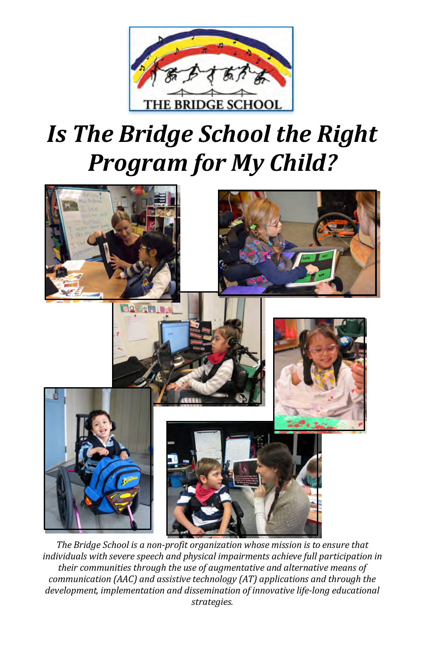

# *Is The Bridge School the Right* **Program** for My Child?



The Bridge School is a non-profit organization whose mission is to ensure that individuals with severe speech and physical impairments achieve full participation in their communities through the use of augmentative and alternative means of *communication* (AAC) and assistive technology (AT) applications and through the development, implementation and dissemination of innovative life-long educational *strategies.*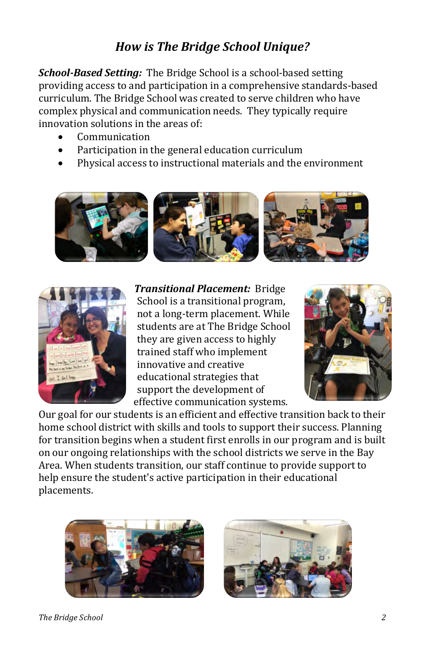### How is The Bridge School Unique?

School-Based Setting: The Bridge School is a school-based setting providing access to and participation in a comprehensive standards-based complex physical and communication needs. They typically require curriculum. The Bridge School was created to serve children who have innovation solutions in the areas of:

- Communication
- Participation in the general education curriculum
- Physical access to instructional materials and the environment





**Transitional Placement:** Bridge not a long-term placement. While they are given access to highly students are at The Bridge School tra i ned staff who implement educational strategies that innovative and creative support the development of effective communication systems. School is a transitional program,



home school district with skills and tools to support their success. Planning Our goal for our students is an efficient and effective transition back to their for transition begins when a student first enrolls in our program and is built Area. When students transition, our staff continue to provide support to on our ongoing relationships with the school districts we serve in the Bay help ensure the student's active participation in their educational placements. 





#### *The Bridge School*  $\qquad \qquad 2$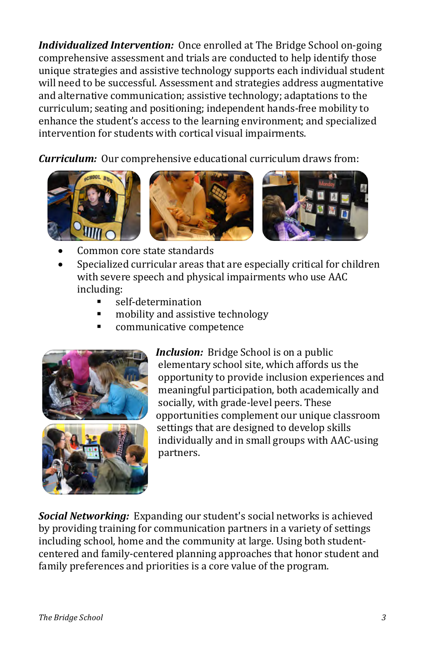Individualized Intervention: Once enrolled at The Bridge School on-going unique strategies and assistive technology supports each individual student comprehensive assessment and trials are conducted to help identify those will need to be successful. Assessment and strategies address augmentative curriculum; seating and positioning; independent hands-free mobility to and alternative communication; assistive technology; adaptations to the intervention for students with cortical visual impairments. enhance the student's access to the learning environment; and specialized

**Curriculum:** Our comprehensive educational curriculum draws from:



- Common core state standards
- Specialized curricular areas that are especially critical for children with severe speech and physical impairments who use AAC inc l u d ing:
	- § self-determination
	- § mobility and assistive technology
	- § communicative competence



*Inclusion:* Bridge School is on a public elementary school site, which affords us the meaningful participation, both academically and opportunity to provide inclusion experiences and socially, with grade-level peers. These opportunities complement our unique classroom settings that are designed to develop skills individually and in small groups with AAC-using partners.

**Social Networking:** Expanding our student's social networks is achieved including school, home and the community at large. Using both studentby providing training for communication partners in a variety of settings centered and family-centered planning approaches that honor student and family preferences and priorities is a core value of the program.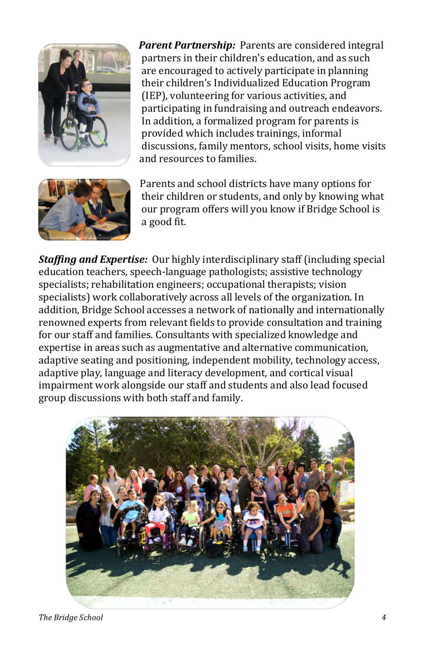

**Parent Partnership:** Parents are considered integral are encouraged to actively participate in planning partners in their children's education, and as such their children's Individualized Education Program participating in fundraising and outreach endeavors. (IEP), volunteering for various activities, and In addition, a formalized program for parents is provided which includes trainings, informal and resources to families. discussions, family mentors, school visits, home visits



Parents and school districts have many options for their children or students, and only by knowing what our program offers will you know if Bridge School is a good fit.

*Staffing and Expertise:* Our highly interdisciplinary staff (including special specialists; rehabilitation engineers; occupational therapists; vision education teachers, speech-language pathologists; assistive technology specialists) work collaboratively across all levels of the organization. In renowned experts from relevant fields to provide consultation and training addition, Bridge School accesses a network of nationally and internationally for our staff and families. Consultants with specialized knowledge and adaptive seating and positioning, independent mobility, technology access, expertise in areas such as augmentative and alternative communication, adaptive play, language and literacy development, and cortical visual impairment work alongside our staff and students and also lead focused group discussions with both staff and family.



*The Bridge School 4*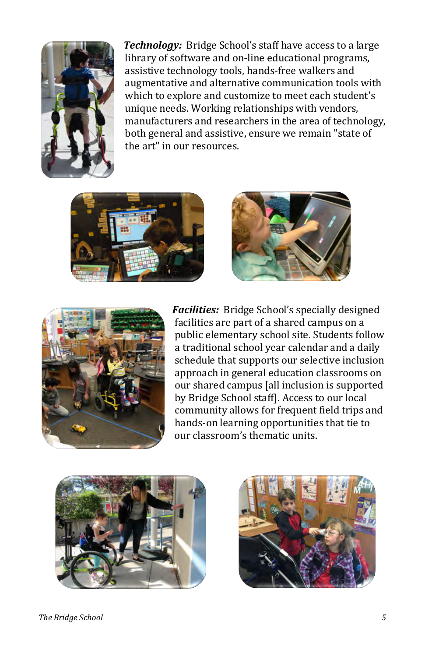

**Technology:** Bridge School's staff have access to a large assistive technology tools, hands-free walkers and augmentative and alternative communication tools with which to explore and customize to meet each student's unique needs. Working relationships with vendors, manufacturers and researchers in the area of technology, both general and assistive, ensure we remain "state of the art" in our resources. library of software and on-line educational programs,







Facilities: Bridge School's specially designed public elementary school site. Students follow facilities are part of a shared campus on a a traditional school year calendar and a daily schedule that supports our selective inclusion approach in general education classrooms on our shared campus [all inclusion is supported community allows for frequent field trips and by Bridge School staff]. Access to our local hands-on learning opportunities that tie to our classroom's thematic units.



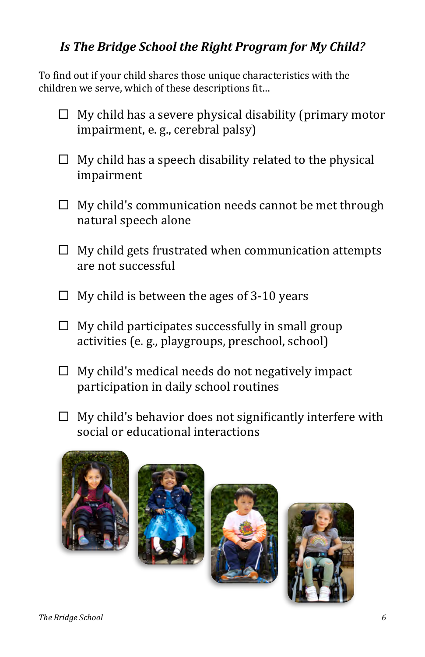## Is The Bridge School the Right Program for My Child?

children we serve, which of these descriptions fit... To find out if your child shares those unique characteristics with the

- $\Box$  My child has a severe physical disability (primary motor impairment, e. g., cerebral palsy)
- $\Box$  My child has a speech disability related to the physical impairment
- $\Box$  My child's communication needs cannot be met through natural speech alone
- $\Box$  My child gets frustrated when communication attempts are not successful
- $\Box$  My child is between the ages of 3-10 years
- $\Box$  My child participates successfully in small group activities (e.g., playgroups, preschool, school)
- $\Box$  My child's medical needs do not negatively impact participation in daily school routines
- $\Box$  My child's behavior does not significantly interfere with social or educational interactions







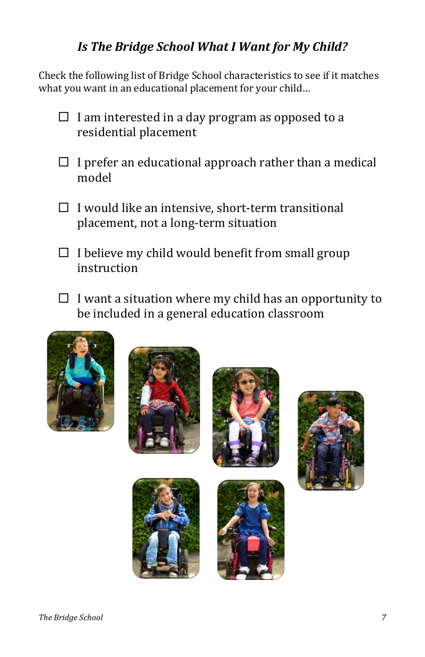### *I s T he B r i d g e School What I Want for My Child?*

Check the following list of Bridge School characteristics to see if it matches what you want in an educational placement for your child...

- $\Box$  I am interested in a day program as opposed to a residential placement
- $\Box$  I prefer an educational approach rather than a medical mo d e l
- $\Box$  I would like an intensive, short-term transitional placement, not a long-term situation
- $\Box$  I believe my child would benefit from small group instruction
- $\Box$  I want a situation where my child has an opportunity to be included in a general education classroom